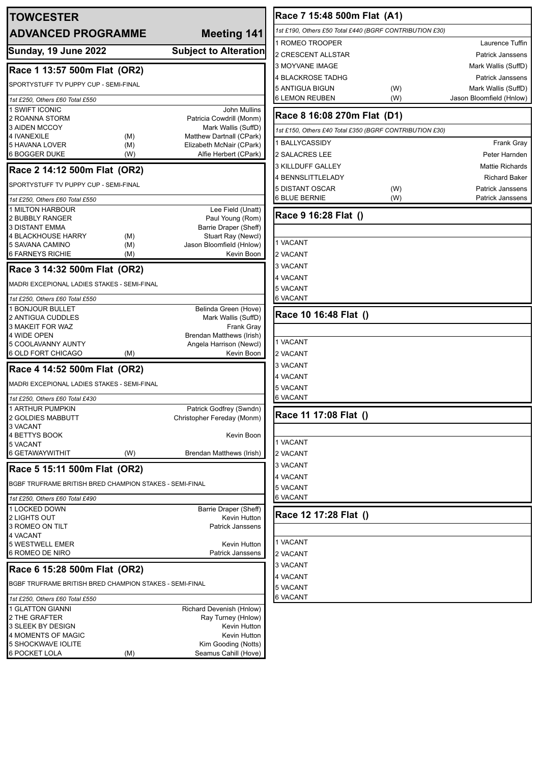| <b>TOWCESTER</b>                                         |                                                 | Race 7 15:48 500m Flat (A1)                             |     |                          |
|----------------------------------------------------------|-------------------------------------------------|---------------------------------------------------------|-----|--------------------------|
| <b>ADVANCED PROGRAMME</b><br><b>Meeting 141</b>          |                                                 | 1st £190, Others £50 Total £440 (BGRF CONTRIBUTION £30) |     |                          |
|                                                          |                                                 | 1 ROMEO TROOPER                                         |     | Laurence Tuffin          |
| Sunday, 19 June 2022                                     | <b>Subject to Alteration</b>                    | 2 CRESCENT ALLSTAR                                      |     | <b>Patrick Janssens</b>  |
| Race 1 13:57 500m Flat (OR2)                             |                                                 | 3 MOYVANE IMAGE                                         |     | Mark Wallis (SuffD)      |
|                                                          |                                                 | 4 BLACKROSE TADHG                                       |     | <b>Patrick Janssens</b>  |
| SPORTYSTUFF TV PUPPY CUP - SEMI-FINAL                    |                                                 | <b>5 ANTIGUA BIGUN</b>                                  | (W) | Mark Wallis (SuffD)      |
| 1st £250, Others £60 Total £550                          |                                                 | <b>6 LEMON REUBEN</b>                                   | (W) | Jason Bloomfield (Hnlow) |
| 1 SWIFT ICONIC<br>2 ROANNA STORM                         | <b>John Mullins</b><br>Patricia Cowdrill (Monm) | Race 8 16:08 270m Flat (D1)                             |     |                          |
| 3 AIDEN MCCOY<br><b>4 IVANEXILE</b><br>(M)               | Mark Wallis (SuffD)<br>Matthew Dartnall (CPark) | 1st £150, Others £40 Total £350 (BGRF CONTRIBUTION £30) |     |                          |
| 5 HAVANA LOVER<br>(M)                                    | Elizabeth McNair (CPark)                        | 1 BALLYCASSIDY                                          |     | Frank Gray               |
| <b>6 BOGGER DUKE</b><br>(W)                              | Alfie Herbert (CPark)                           | 2 SALACRES LEE                                          |     | Peter Harnden            |
| Race 2 14:12 500m Flat (OR2)                             |                                                 | 3 KILLDUFF GALLEY                                       |     | <b>Mattie Richards</b>   |
| SPORTYSTUFF TV PUPPY CUP - SEMI-FINAL                    |                                                 | 4 BENNSLITTLELADY                                       |     | <b>Richard Baker</b>     |
|                                                          |                                                 | 5 DISTANT OSCAR                                         | (W) | Patrick Janssens         |
| 1st £250, Others £60 Total £550                          |                                                 | <b>6 BLUE BERNIE</b>                                    | (W) | Patrick Janssens         |
| 1 MILTON HARBOUR<br>2 BUBBLY RANGER                      | Lee Field (Unatt)<br>Paul Young (Rom)           | Race 9 16:28 Flat ()                                    |     |                          |
| <b>3 DISTANT EMMA</b>                                    | Barrie Draper (Sheff)                           |                                                         |     |                          |
| 4 BLACKHOUSE HARRY<br>(M)                                | Stuart Ray (Newcl)                              | 1 VACANT                                                |     |                          |
| 5 SAVANA CAMINO<br>(M)<br><b>6 FARNEYS RICHIE</b><br>(M) | Jason Bloomfield (Hnlow)<br>Kevin Boon          | 2 VACANT                                                |     |                          |
|                                                          |                                                 | 3 VACANT                                                |     |                          |
| Race 3 14:32 500m Flat (OR2)                             |                                                 | 4 VACANT                                                |     |                          |
| MADRI EXCEPIONAL LADIES STAKES - SEMI-FINAL              |                                                 | 5 VACANT                                                |     |                          |
| 1st £250, Others £60 Total £550                          |                                                 | <b>6 VACANT</b>                                         |     |                          |
| 1 BONJOUR BULLET                                         | Belinda Green (Hove)                            | Race 10 16:48 Flat ()                                   |     |                          |
| 2 ANTIGUA CUDDLES<br>3 MAKEIT FOR WAZ                    | Mark Wallis (SuffD)<br>Frank Gray               |                                                         |     |                          |
| 4 WIDE OPEN                                              | Brendan Matthews (Irish)                        |                                                         |     |                          |
| 5 COOLAVANNY AUNTY                                       | Angela Harrison (Newcl)                         | 1 VACANT                                                |     |                          |
| 6 OLD FORT CHICAGO<br>(M)                                | Kevin Boon                                      | 2 VACANT                                                |     |                          |
| Race 4 14:52 500m Flat (OR2)                             | 3 VACANT                                        |                                                         |     |                          |
| MADRI EXCEPIONAL LADIES STAKES - SEMI-FINAL              |                                                 | <b>4 VACANT</b>                                         |     |                          |
| 1st £250, Others £60 Total £430                          |                                                 | 5 VACANT<br><b>6 VACANT</b>                             |     |                          |
| <b>1 ARTHUR PUMPKIN</b>                                  | Patrick Godfrey (Swndn)                         |                                                         |     |                          |
| 2 GOLDIES MABBUTT                                        | Christopher Fereday (Monm)                      | Race 11 17:08 Flat ()                                   |     |                          |
| 3 VACANT                                                 |                                                 |                                                         |     |                          |
| 4 BETTYS BOOK<br>5 VACANT                                | Kevin Boon                                      | 1 VACANT                                                |     |                          |
| 6 GETAWAYWITHIT<br>(W)                                   | Brendan Matthews (Irish)                        | 2 VACANT                                                |     |                          |
| 3 VACANT<br>Race 5 15:11 500m Flat (OR2)                 |                                                 |                                                         |     |                          |
|                                                          | 4 VACANT                                        |                                                         |     |                          |
| BGBF TRUFRAME BRITISH BRED CHAMPION STAKES - SEMI-FINAL  | <b>5 VACANT</b>                                 |                                                         |     |                          |
| 1st £250, Others £60 Total £490                          |                                                 | <b>6 VACANT</b>                                         |     |                          |
| 1 LOCKED DOWN<br>2 LIGHTS OUT                            | Barrie Draper (Sheff)<br>Kevin Hutton           | Race 12 17:28 Flat ()                                   |     |                          |
| 3 ROMEO ON TILT                                          | Patrick Janssens                                |                                                         |     |                          |
| 4 VACANT                                                 |                                                 | 1 VACANT                                                |     |                          |
| 5 WESTWELL EMER<br>6 ROMEO DE NIRO                       | Kevin Hutton<br>Patrick Janssens                | 2 VACANT                                                |     |                          |
|                                                          | 3 VACANT                                        |                                                         |     |                          |
| Race 6 15:28 500m Flat (OR2)                             | 4 VACANT                                        |                                                         |     |                          |
| BGBF TRUFRAME BRITISH BRED CHAMPION STAKES - SEMI-FINAL  | 5 VACANT                                        |                                                         |     |                          |
| 1st £250, Others £60 Total £550                          |                                                 | 6 VACANT                                                |     |                          |
| 1 GLATTON GIANNI                                         | Richard Devenish (Hnlow)                        |                                                         |     |                          |
| 2 THE GRAFTER                                            | Ray Turney (Hnlow)                              |                                                         |     |                          |
| 3 SLEEK BY DESIGN<br>4 MOMENTS OF MAGIC                  | Kevin Hutton<br>Kevin Hutton                    |                                                         |     |                          |
| 5 SHOCKWAVE IOLITE                                       | Kim Gooding (Notts)                             |                                                         |     |                          |

6 POCKET LOLA (M) Seamus Cahill (Hove)